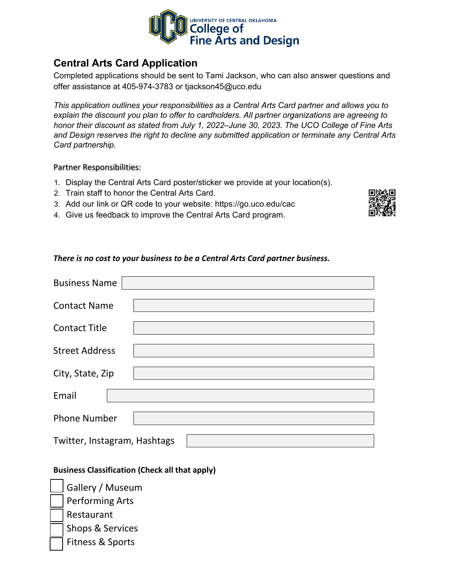

## **Central Arts Card Application**

Completed applications should be sent to Tami Jackson, who can also answer questions and offer assistance at 405-974-3783 or [tjackson45@uco.edu](mailto:tjackson45@uco.edu) 

*This application outlines your responsibilities as a Central Arts Card partner and allows you to explain the discount you plan to offer to cardholders. All partner organizations are agreeing to honor their discount as stated from July 1, 2022–June 30, 2023. The UCO College of Fine Arts and Design reserves the right to decline any submitted application or terminate any Central Arts Card partnership.* 

Partner Responsibilities:

- 1. Display the Central Arts Card poster/sticker we provide at your location(s).
- 2. Train staff to honor the Central Arts Card.
- 3. Add our link or QR code to your website: <https://go.uco.edu/cac>
- 4. Give us feedback to improve the Central Arts Card program.

#### *There is no cost to your business to be a Central Arts Card partner business.*

| <b>Business Name</b>         |  |
|------------------------------|--|
| <b>Contact Name</b>          |  |
| <b>Contact Title</b>         |  |
| <b>Street Address</b>        |  |
| City, State, Zip             |  |
| Email                        |  |
| <b>Phone Number</b>          |  |
| Twitter, Instagram, Hashtags |  |

#### **Business Classification (Check all that apply)**

Gallery / Museum Performing Arts **Restaurant** Shops & Services Fitness & Sports